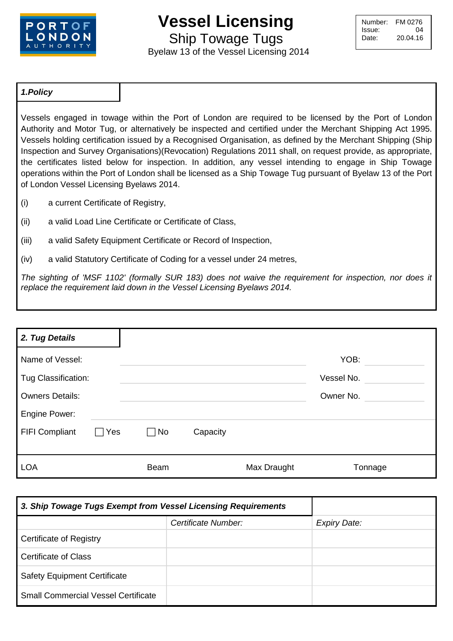

## **Vessel Licensing**

Ship Towage Tugs

Byelaw 13 of the Vessel Licensing 2014

| Number: | FM 0276  |
|---------|----------|
| Issue:  | 04       |
| Date:   | 20.04.16 |
|         |          |

## *1.Policy*

Vessels engaged in towage within the Port of London are required to be licensed by the Port of London Authority and Motor Tug, or alternatively be inspected and certified under the Merchant Shipping Act 1995. Vessels holding certification issued by a Recognised Organisation, as defined by the Merchant Shipping (Ship Inspection and Survey Organisations)(Revocation) Regulations 2011 shall, on request provide, as appropriate, the certificates listed below for inspection. In addition, any vessel intending to engage in Ship Towage operations within the Port of London shall be licensed as a Ship Towage Tug pursuant of Byelaw 13 of the Port of London Vessel Licensing Byelaws 2014.

- (i) a current Certificate of Registry,
- (ii) a valid Load Line Certificate or Certificate of Class,
- (iii) a valid Safety Equipment Certificate or Record of Inspection,
- (iv) a valid Statutory Certificate of Coding for a vessel under 24 metres,

*The sighting of 'MSF 1102' (formally SUR 183) does not waive the requirement for inspection, nor does it replace the requirement laid down in the Vessel Licensing Byelaws 2014.* 

| 2. Tug Details         |     |           |          |             |            |
|------------------------|-----|-----------|----------|-------------|------------|
| Name of Vessel:        |     |           |          |             | YOB:       |
| Tug Classification:    |     |           |          |             | Vessel No. |
| <b>Owners Details:</b> |     |           |          |             | Owner No.  |
| Engine Power:          |     |           |          |             |            |
| <b>FIFI Compliant</b>  | Yes | $\neg$ No | Capacity |             |            |
|                        |     |           |          |             |            |
| <b>LOA</b>             |     | Beam      |          | Max Draught | Tonnage    |

| 3. Ship Towage Tugs Exempt from Vessel Licensing Requirements |                     |                     |
|---------------------------------------------------------------|---------------------|---------------------|
|                                                               | Certificate Number: | <b>Expiry Date:</b> |
| <b>Certificate of Registry</b>                                |                     |                     |
| <b>Certificate of Class</b>                                   |                     |                     |
| <b>Safety Equipment Certificate</b>                           |                     |                     |
| <b>Small Commercial Vessel Certificate</b>                    |                     |                     |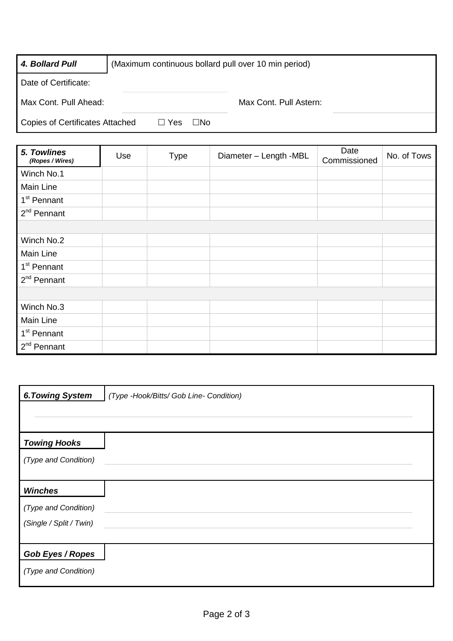| 4. Bollard Pull                        | (Maximum continuous bollard pull over 10 min period) |                        |  |
|----------------------------------------|------------------------------------------------------|------------------------|--|
| Date of Certificate:                   |                                                      |                        |  |
| Max Cont. Pull Ahead:                  |                                                      | Max Cont. Pull Astern: |  |
| <b>Copies of Certificates Attached</b> | $\Box$ Yes<br>□No                                    |                        |  |

| 5. Towlines<br>(Ropes / Wires) | Use | <b>Type</b> | Diameter - Length -MBL | Date<br>Commissioned | No. of Tows |
|--------------------------------|-----|-------------|------------------------|----------------------|-------------|
| Winch No.1                     |     |             |                        |                      |             |
| Main Line                      |     |             |                        |                      |             |
| 1 <sup>st</sup> Pennant        |     |             |                        |                      |             |
| $2nd$ Pennant                  |     |             |                        |                      |             |
|                                |     |             |                        |                      |             |
| Winch No.2                     |     |             |                        |                      |             |
| Main Line                      |     |             |                        |                      |             |
| 1 <sup>st</sup> Pennant        |     |             |                        |                      |             |
| 2 <sup>nd</sup> Pennant        |     |             |                        |                      |             |
|                                |     |             |                        |                      |             |
| Winch No.3                     |     |             |                        |                      |             |
| Main Line                      |     |             |                        |                      |             |
| 1 <sup>st</sup> Pennant        |     |             |                        |                      |             |
| $2nd$ Pennant                  |     |             |                        |                      |             |

| <b>6. Towing System</b> | (Type -Hook/Bitts/ Gob Line- Condition) |
|-------------------------|-----------------------------------------|
|                         |                                         |
| <b>Towing Hooks</b>     |                                         |
| (Type and Condition)    |                                         |
| <b>Winches</b>          |                                         |
| (Type and Condition)    |                                         |
| (Single / Split / Twin) |                                         |
| <b>Gob Eyes / Ropes</b> |                                         |
| (Type and Condition)    |                                         |
|                         |                                         |